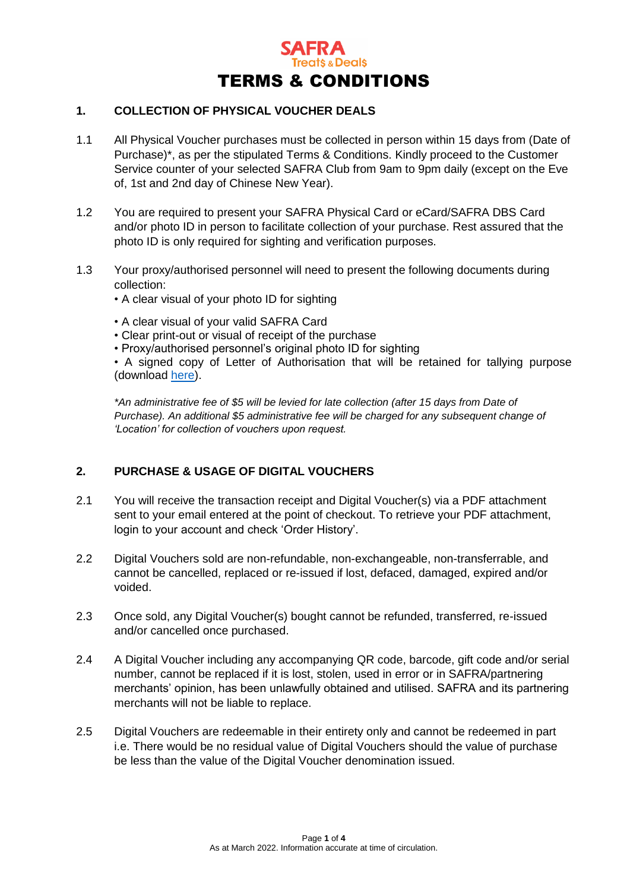

## **1. COLLECTION OF PHYSICAL VOUCHER DEALS**

- 1.1 All Physical Voucher purchases must be collected in person within 15 days from (Date of Purchase)\*, as per the stipulated Terms & Conditions. Kindly proceed to the Customer Service counter of your selected SAFRA Club from 9am to 9pm daily (except on the Eve of, 1st and 2nd day of Chinese New Year).
- 1.2 You are required to present your SAFRA Physical Card or eCard/SAFRA DBS Card and/or photo ID in person to facilitate collection of your purchase. Rest assured that the photo ID is only required for sighting and verification purposes.
- 1.3 Your proxy/authorised personnel will need to present the following documents during collection:
	- A clear visual of your photo ID for sighting
	- A clear visual of your valid SAFRA Card
	- Clear print-out or visual of receipt of the purchase
	- Proxy/authorised personnel's original photo ID for sighting

• A signed copy of Letter of Authorisation that will be retained for tallying purpose (download [here\)](https://treats.safra.sg/getfile.aspx?file=loa).

*\*An administrative fee of \$5 will be levied for late collection (after 15 days from Date of Purchase). An additional \$5 administrative fee will be charged for any subsequent change of 'Location' for collection of vouchers upon request.* 

## **2. PURCHASE & USAGE OF DIGITAL VOUCHERS**

- 2.1 You will receive the transaction receipt and Digital Voucher(s) via a PDF attachment sent to your email entered at the point of checkout. To retrieve your PDF attachment, login to your account and check 'Order History'.
- 2.2 Digital Vouchers sold are non-refundable, non-exchangeable, non-transferrable, and cannot be cancelled, replaced or re-issued if lost, defaced, damaged, expired and/or voided.
- 2.3 Once sold, any Digital Voucher(s) bought cannot be refunded, transferred, re-issued and/or cancelled once purchased.
- 2.4 A Digital Voucher including any accompanying QR code, barcode, gift code and/or serial number, cannot be replaced if it is lost, stolen, used in error or in SAFRA/partnering merchants' opinion, has been unlawfully obtained and utilised. SAFRA and its partnering merchants will not be liable to replace.
- 2.5 Digital Vouchers are redeemable in their entirety only and cannot be redeemed in part i.e. There would be no residual value of Digital Vouchers should the value of purchase be less than the value of the Digital Voucher denomination issued.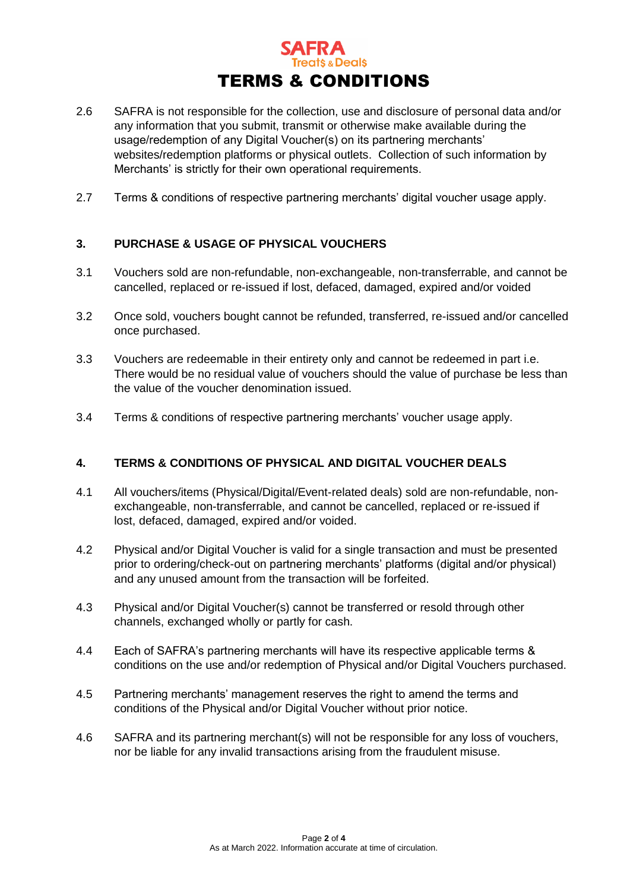

- 2.6 SAFRA is not responsible for the collection, use and disclosure of personal data and/or any information that you submit, transmit or otherwise make available during the usage/redemption of any Digital Voucher(s) on its partnering merchants' websites/redemption platforms or physical outlets. Collection of such information by Merchants' is strictly for their own operational requirements.
- 2.7 Terms & conditions of respective partnering merchants' digital voucher usage apply.

# **3. PURCHASE & USAGE OF PHYSICAL VOUCHERS**

- 3.1 Vouchers sold are non-refundable, non-exchangeable, non-transferrable, and cannot be cancelled, replaced or re-issued if lost, defaced, damaged, expired and/or voided
- 3.2 Once sold, vouchers bought cannot be refunded, transferred, re-issued and/or cancelled once purchased.
- 3.3 Vouchers are redeemable in their entirety only and cannot be redeemed in part i.e. There would be no residual value of vouchers should the value of purchase be less than the value of the voucher denomination issued.
- 3.4 Terms & conditions of respective partnering merchants' voucher usage apply.

## **4. TERMS & CONDITIONS OF PHYSICAL AND DIGITAL VOUCHER DEALS**

- 4.1 All vouchers/items (Physical/Digital/Event-related deals) sold are non-refundable, nonexchangeable, non-transferrable, and cannot be cancelled, replaced or re-issued if lost, defaced, damaged, expired and/or voided.
- 4.2 Physical and/or Digital Voucher is valid for a single transaction and must be presented prior to ordering/check-out on partnering merchants' platforms (digital and/or physical) and any unused amount from the transaction will be forfeited.
- 4.3 Physical and/or Digital Voucher(s) cannot be transferred or resold through other channels, exchanged wholly or partly for cash.
- 4.4 Each of SAFRA's partnering merchants will have its respective applicable terms & conditions on the use and/or redemption of Physical and/or Digital Vouchers purchased.
- 4.5 Partnering merchants' management reserves the right to amend the terms and conditions of the Physical and/or Digital Voucher without prior notice.
- 4.6 SAFRA and its partnering merchant(s) will not be responsible for any loss of vouchers, nor be liable for any invalid transactions arising from the fraudulent misuse.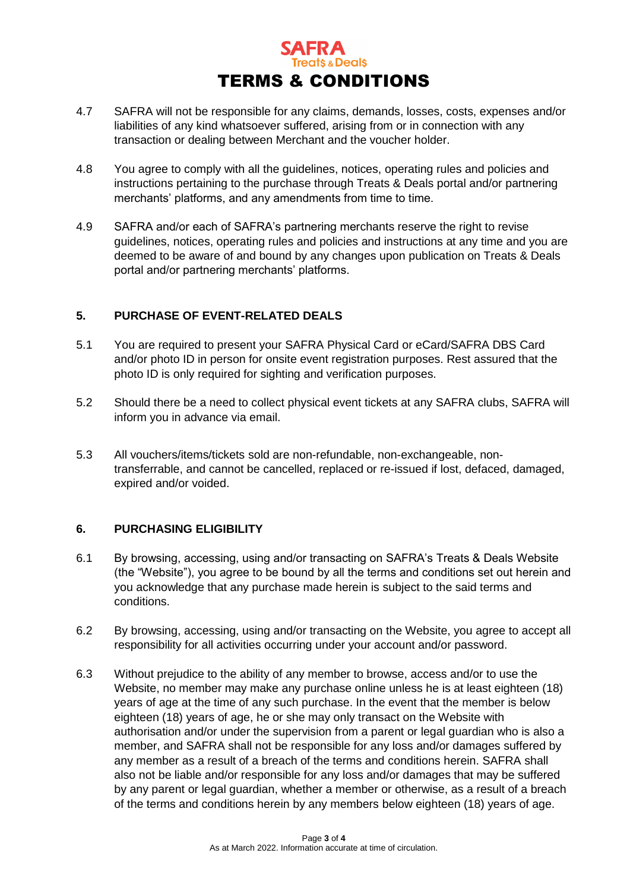

- 4.7 SAFRA will not be responsible for any claims, demands, losses, costs, expenses and/or liabilities of any kind whatsoever suffered, arising from or in connection with any transaction or dealing between Merchant and the voucher holder.
- 4.8 You agree to comply with all the guidelines, notices, operating rules and policies and instructions pertaining to the purchase through Treats & Deals portal and/or partnering merchants' platforms, and any amendments from time to time.
- 4.9 SAFRA and/or each of SAFRA's partnering merchants reserve the right to revise guidelines, notices, operating rules and policies and instructions at any time and you are deemed to be aware of and bound by any changes upon publication on Treats & Deals portal and/or partnering merchants' platforms.

## **5. PURCHASE OF EVENT-RELATED DEALS**

- 5.1 You are required to present your SAFRA Physical Card or eCard/SAFRA DBS Card and/or photo ID in person for onsite event registration purposes. Rest assured that the photo ID is only required for sighting and verification purposes.
- 5.2 Should there be a need to collect physical event tickets at any SAFRA clubs, SAFRA will inform you in advance via email.
- 5.3 All vouchers/items/tickets sold are non-refundable, non-exchangeable, nontransferrable, and cannot be cancelled, replaced or re-issued if lost, defaced, damaged, expired and/or voided.

## **6. PURCHASING ELIGIBILITY**

- 6.1 By browsing, accessing, using and/or transacting on SAFRA's Treats & Deals Website (the "Website"), you agree to be bound by all the terms and conditions set out herein and you acknowledge that any purchase made herein is subject to the said terms and conditions.
- 6.2 By browsing, accessing, using and/or transacting on the Website, you agree to accept all responsibility for all activities occurring under your account and/or password.
- 6.3 Without prejudice to the ability of any member to browse, access and/or to use the Website, no member may make any purchase online unless he is at least eighteen (18) years of age at the time of any such purchase. In the event that the member is below eighteen (18) years of age, he or she may only transact on the Website with authorisation and/or under the supervision from a parent or legal guardian who is also a member, and SAFRA shall not be responsible for any loss and/or damages suffered by any member as a result of a breach of the terms and conditions herein. SAFRA shall also not be liable and/or responsible for any loss and/or damages that may be suffered by any parent or legal guardian, whether a member or otherwise, as a result of a breach of the terms and conditions herein by any members below eighteen (18) years of age.